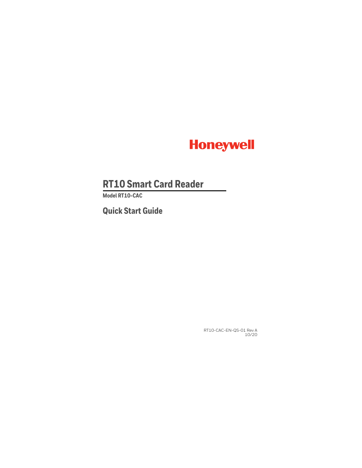

# **RT10 Smart Card Reader**

**Model RT10-CAC**

**Quick Start Guide**

RT10-CAC-EN-QS-01 Rev A 10/20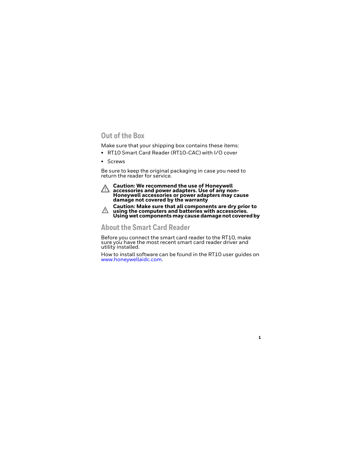## **Out of the Box**

Make sure that your shipping box contains these items:

- RT10 Smart Card Reader (RT10-CAC) with I/O cover
- Screws

Be sure to keep the original packaging in case you need to return the reader for service.



**Caution: We recommend the use of Honeywell accessories and power adapters. Use of any non-Honeywell accessories or power adapters may cause damage not covered by the warranty**



**Caution: Make sure that all components are dry prior to using the computers and batteries with accessories. Using wet components may cause damage not covered by** 

#### **About the Smart Card Reader**

Before you connect the smart card reader to the RT10, make sure you have the most recent smart card reader driver and utility installed.

How to install software can be found in the RT10 user guides on [www.honeywellaidc.com.](https://www.honeywellaidc.com)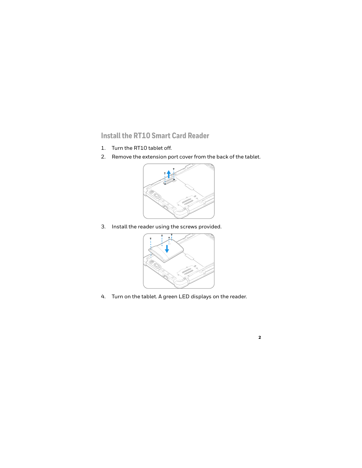## **Install the RT10 Smart Card Reader**

- 1. Turn the RT10 tablet off.
- 2. Remove the extension port cover from the back of the tablet.



3. Install the reader using the screws provided.



4. Turn on the tablet. A green LED displays on the reader.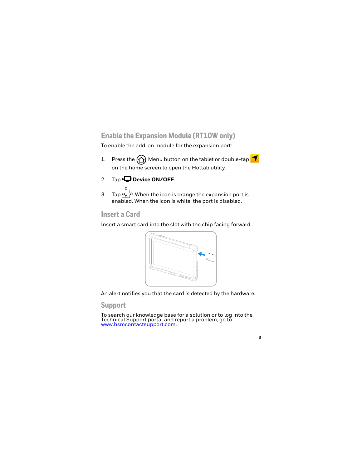## **Enable the Expansion Module (RT10W only)**

To enable the add-on module for the expansion port:

- 1. Press the  $\bigcap$  Menu button on the tablet or double-tap on the home screen to open the Hottab utility.
- 2. Tap **Device ON/OFF.**
- 3. Tap  $\overline{P}_{0}^{1}$ . When the icon is orange the expansion port is enabled. When the icon is white, the port is disabled.

#### **Insert a Card**

Insert a smart card into the slot with the chip facing forward.



An alert notifies you that the card is detected by the hardware.

#### **Support**

To search our knowledge base for a solution or to log into the<br>Technical Support portal and report a problem, go to<br>www.hsmcontactsupport.com.